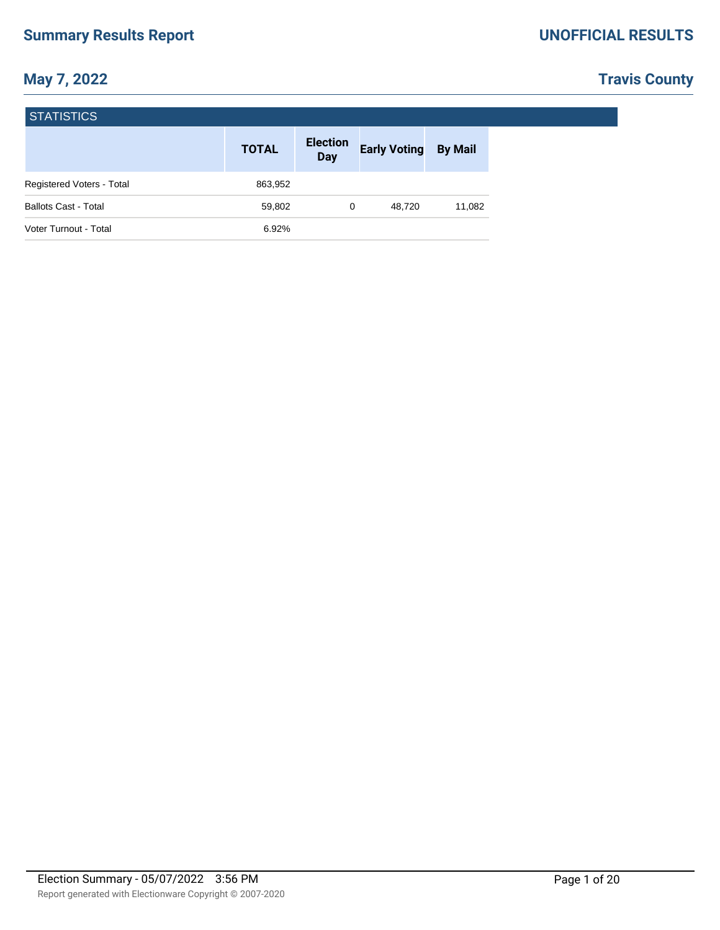# **Travis County**

| <b>STATISTICS</b>           |              |                               |                     |                |  |  |  |  |  |
|-----------------------------|--------------|-------------------------------|---------------------|----------------|--|--|--|--|--|
|                             | <b>TOTAL</b> | <b>Election</b><br><b>Day</b> | <b>Early Voting</b> | <b>By Mail</b> |  |  |  |  |  |
| Registered Voters - Total   | 863,952      |                               |                     |                |  |  |  |  |  |
| <b>Ballots Cast - Total</b> | 59,802       | 0                             | 48,720              | 11,082         |  |  |  |  |  |
| Voter Turnout - Total       | 6.92%        |                               |                     |                |  |  |  |  |  |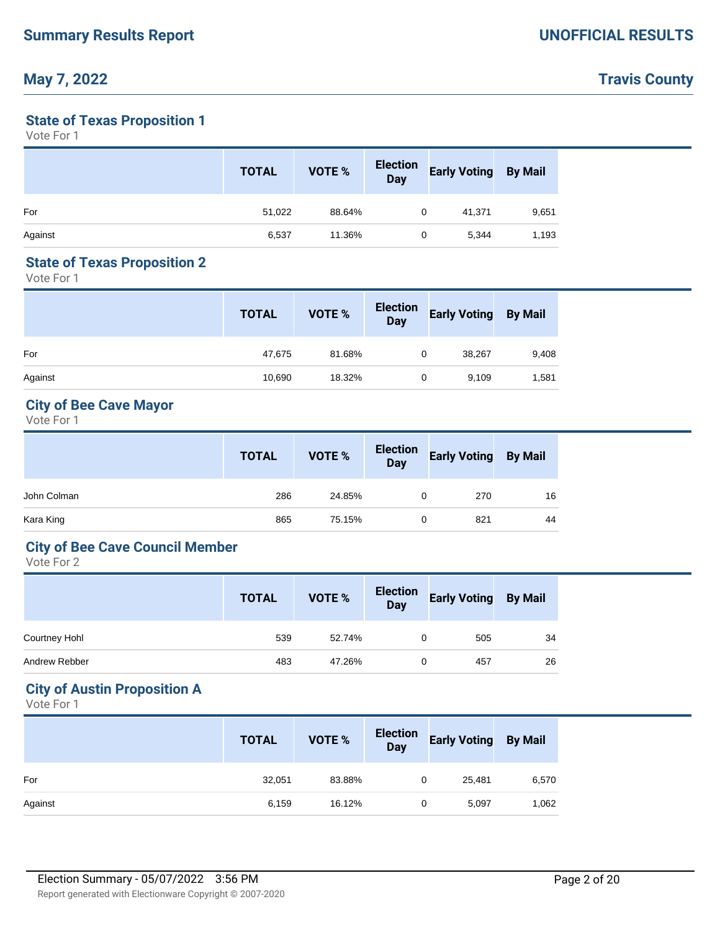# **Travis County**

### **State of Texas Proposition 1**

Vote For 1

|         | <b>TOTAL</b> | VOTE % | <b>Election</b><br>Day | <b>Early Voting</b> | <b>By Mail</b> |
|---------|--------------|--------|------------------------|---------------------|----------------|
| For     | 51,022       | 88.64% | 0                      | 41,371              | 9,651          |
| Against | 6,537        | 11.36% | 0                      | 5,344               | 1,193          |

### **State of Texas Proposition 2**

Vote For 1

|         | <b>TOTAL</b> | VOTE % | <b>Election</b><br>Day | <b>Early Voting By Mail</b> |       |
|---------|--------------|--------|------------------------|-----------------------------|-------|
| For     | 47,675       | 81.68% | 0                      | 38,267                      | 9,408 |
| Against | 10,690       | 18.32% | 0                      | 9,109                       | 1,581 |

### **City of Bee Cave Mayor**

Vote For 1

|             | <b>TOTAL</b> | VOTE % | Election<br>Day | <b>Early Voting By Mail</b> |    |
|-------------|--------------|--------|-----------------|-----------------------------|----|
| John Colman | 286          | 24.85% | 0               | 270                         | 16 |
| Kara King   | 865          | 75.15% | 0               | 821                         | 44 |

### **City of Bee Cave Council Member**

Vote For 2

|                      | <b>TOTAL</b> | VOTE % | <b>Election</b><br><b>Day</b> | <b>Early Voting By Mail</b> |    |
|----------------------|--------------|--------|-------------------------------|-----------------------------|----|
| <b>Courtney Hohl</b> | 539          | 52.74% | 0                             | 505                         | 34 |
| Andrew Rebber        | 483          | 47.26% | 0                             | 457                         | 26 |

#### **City of Austin Proposition A**

|         | <b>TOTAL</b> | VOTE % | Election<br>Day | <b>Early Voting By Mail</b> |       |
|---------|--------------|--------|-----------------|-----------------------------|-------|
| For     | 32,051       | 83.88% | 0               | 25,481                      | 6,570 |
| Against | 6,159        | 16.12% | 0               | 5,097                       | 1,062 |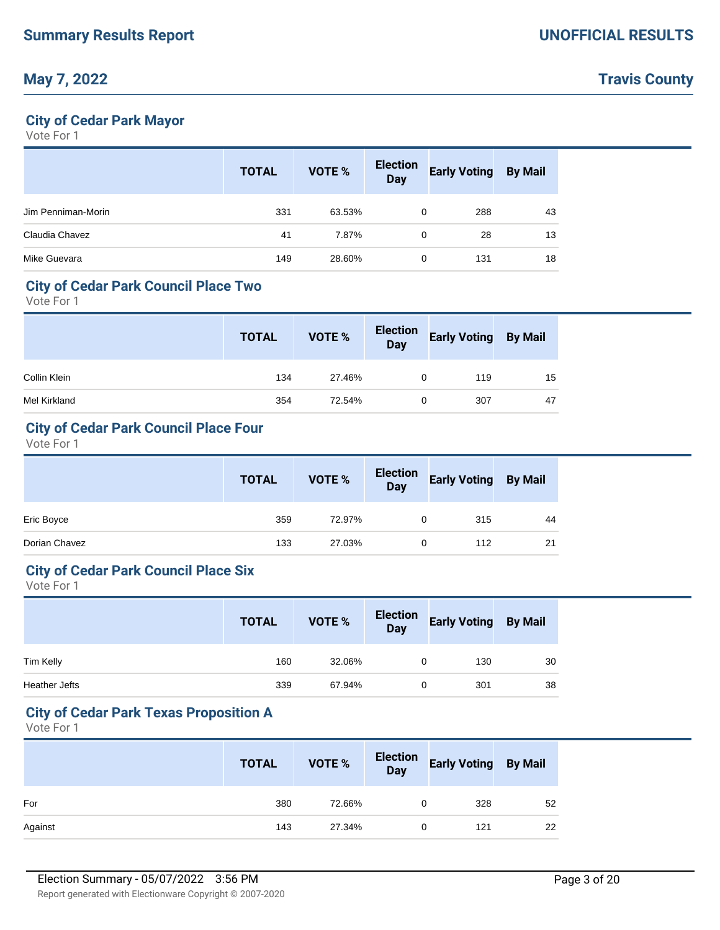### **City of Cedar Park Mayor**

Vote For 1

|                    | <b>TOTAL</b> | VOTE % | <b>Election</b><br>Day | <b>Early Voting</b> | <b>By Mail</b> |
|--------------------|--------------|--------|------------------------|---------------------|----------------|
| Jim Penniman-Morin | 331          | 63.53% | 0                      | 288                 | 43             |
| Claudia Chavez     | 41           | 7.87%  | 0                      | 28                  | 13             |
| Mike Guevara       | 149          | 28.60% | 0                      | 131                 | 18             |

#### **City of Cedar Park Council Place Two**

Vote For 1

|              | <b>TOTAL</b> | VOTE % | Election<br>Day | <b>Early Voting By Mail</b> |    |
|--------------|--------------|--------|-----------------|-----------------------------|----|
| Collin Klein | 134          | 27.46% | 0               | 119                         | 15 |
| Mel Kirkland | 354          | 72.54% | 0               | 307                         | 47 |

## **City of Cedar Park Council Place Four**

Vote For 1

|               | <b>TOTAL</b> | VOTE % | <b>Election</b><br>Day | <b>Early Voting By Mail</b> |    |
|---------------|--------------|--------|------------------------|-----------------------------|----|
| Eric Boyce    | 359          | 72.97% |                        | 315                         | 44 |
| Dorian Chavez | 133          | 27.03% |                        | 112                         | 21 |

#### **City of Cedar Park Council Place Six**

Vote For 1

|               | <b>TOTAL</b> | VOTE % | Election<br>Day | <b>Early Voting By Mail</b> |    |
|---------------|--------------|--------|-----------------|-----------------------------|----|
| Tim Kelly     | 160          | 32.06% | 0               | 130                         | 30 |
| Heather Jefts | 339          | 67.94% | 0               | 301                         | 38 |

#### **City of Cedar Park Texas Proposition A**

|         | <b>TOTAL</b> | VOTE % | Election Early Voting By Mail |    |
|---------|--------------|--------|-------------------------------|----|
| For     | 380          | 72.66% | 328                           | 52 |
| Against | 143          | 27.34% | 121                           | 22 |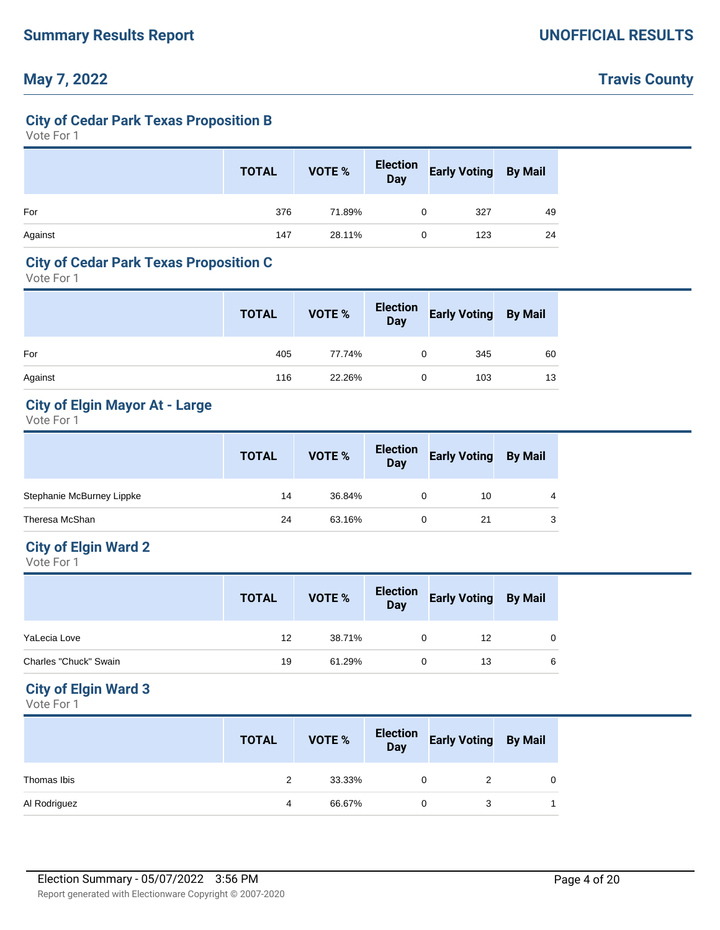## **Travis County**

#### **City of Cedar Park Texas Proposition B**

Vote For 1

|         | <b>TOTAL</b> | <b>VOTE %</b> | Election<br>Day | <b>Early Voting</b> | <b>By Mail</b> |
|---------|--------------|---------------|-----------------|---------------------|----------------|
| For     | 376          | 71.89%        | 0               | 327                 | 49             |
| Against | 147          | 28.11%        | 0               | 123                 | 24             |

#### **City of Cedar Park Texas Proposition C**

Vote For 1

|         | <b>TOTAL</b> | VOTE % | Election<br>Day | <b>Early Voting By Mail</b> |    |
|---------|--------------|--------|-----------------|-----------------------------|----|
| For     | 405          | 77.74% | 0               | 345                         | 60 |
| Against | 116          | 22.26% | 0               | 103                         | 13 |

### **City of Elgin Mayor At - Large**

Vote For 1

|                           | <b>TOTAL</b> | <b>VOTE %</b> | <b>Election</b><br>Day | <b>Early Voting</b> | <b>By Mail</b> |
|---------------------------|--------------|---------------|------------------------|---------------------|----------------|
| Stephanie McBurney Lippke | 14           | 36.84%        |                        | 10                  | 4              |
| Theresa McShan            | 24           | 63.16%        |                        | 21                  | 3              |

## **City of Elgin Ward 2**

Vote For 1

|                       | <b>TOTAL</b> | VOTE % | <b>Election</b><br>Day | <b>Early Voting By Mail</b> |          |
|-----------------------|--------------|--------|------------------------|-----------------------------|----------|
| YaLecia Love          | 12           | 38.71% |                        | 12                          | $\Omega$ |
| Charles "Chuck" Swain | 19           | 61.29% |                        | 13                          | 6        |

### **City of Elgin Ward 3**

|              | <b>TOTAL</b> | VOTE % | <b>Election</b><br><b>Day</b> | <b>Early Voting</b> | <b>By Mail</b> |
|--------------|--------------|--------|-------------------------------|---------------------|----------------|
| Thomas Ibis  | 2            | 33.33% | 0                             |                     | $\Omega$       |
| Al Rodriguez | 4            | 66.67% |                               |                     |                |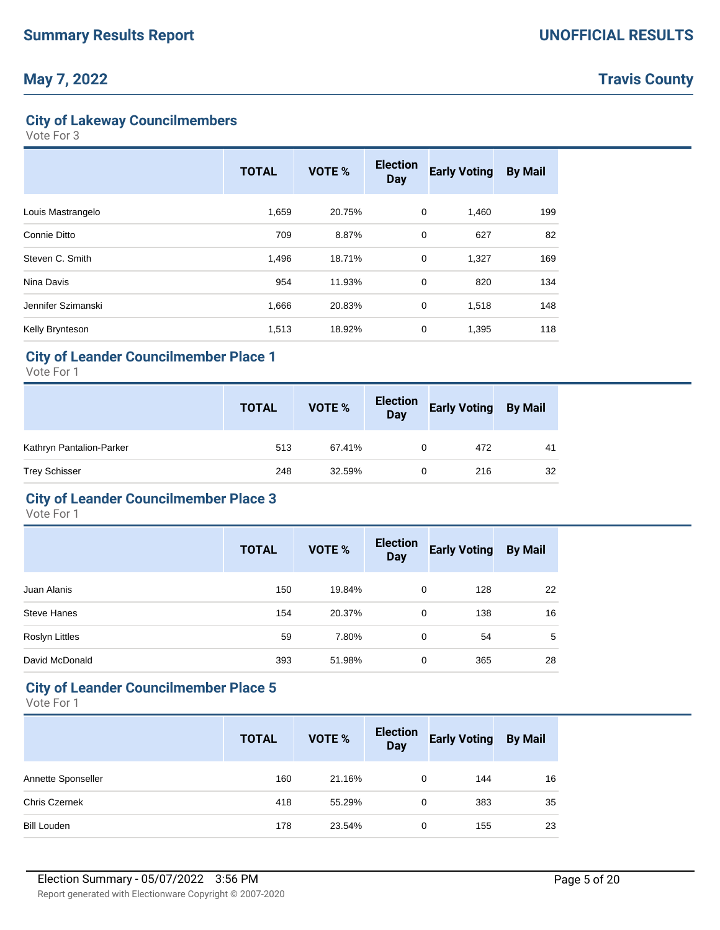**Travis County**

### **City of Lakeway Councilmembers**

Vote For 3

|                    | <b>TOTAL</b> | <b>VOTE %</b> | <b>Election</b><br><b>Day</b> | <b>Early Voting</b> | <b>By Mail</b> |
|--------------------|--------------|---------------|-------------------------------|---------------------|----------------|
| Louis Mastrangelo  | 1,659        | 20.75%        | 0                             | 1,460               | 199            |
| Connie Ditto       | 709          | 8.87%         | 0                             | 627                 | 82             |
| Steven C. Smith    | 1,496        | 18.71%        | $\mathbf 0$                   | 1,327               | 169            |
| Nina Davis         | 954          | 11.93%        | 0                             | 820                 | 134            |
| Jennifer Szimanski | 1,666        | 20.83%        | 0                             | 1,518               | 148            |
| Kelly Brynteson    | 1,513        | 18.92%        | 0                             | 1,395               | 118            |

### **City of Leander Councilmember Place 1**

Vote For 1

|                          | <b>TOTAL</b> | VOTE % | <b>Election</b><br>Day | <b>Early Voting By Mail</b> |    |
|--------------------------|--------------|--------|------------------------|-----------------------------|----|
| Kathryn Pantalion-Parker | 513          | 67.41% | 0                      | 472                         | 41 |
| <b>Trey Schisser</b>     | 248          | 32.59% | 0                      | 216                         | 32 |

#### **City of Leander Councilmember Place 3**

Vote For 1

|                    | <b>TOTAL</b> | <b>VOTE %</b> | <b>Election</b><br><b>Day</b> | <b>Early Voting</b> | <b>By Mail</b> |
|--------------------|--------------|---------------|-------------------------------|---------------------|----------------|
| Juan Alanis        | 150          | 19.84%        | 0                             | 128                 | 22             |
| <b>Steve Hanes</b> | 154          | 20.37%        | 0                             | 138                 | 16             |
| Roslyn Littles     | 59           | 7.80%         | 0                             | 54                  | 5              |
| David McDonald     | 393          | 51.98%        | 0                             | 365                 | 28             |

#### **City of Leander Councilmember Place 5**

|                      | <b>TOTAL</b> | VOTE % | <b>Election</b><br><b>Day</b> | <b>Early Voting</b> | <b>By Mail</b> |
|----------------------|--------------|--------|-------------------------------|---------------------|----------------|
| Annette Sponseller   | 160          | 21.16% | $\Omega$                      | 144                 | 16             |
| <b>Chris Czernek</b> | 418          | 55.29% | 0                             | 383                 | 35             |
| <b>Bill Louden</b>   | 178          | 23.54% | 0                             | 155                 | 23             |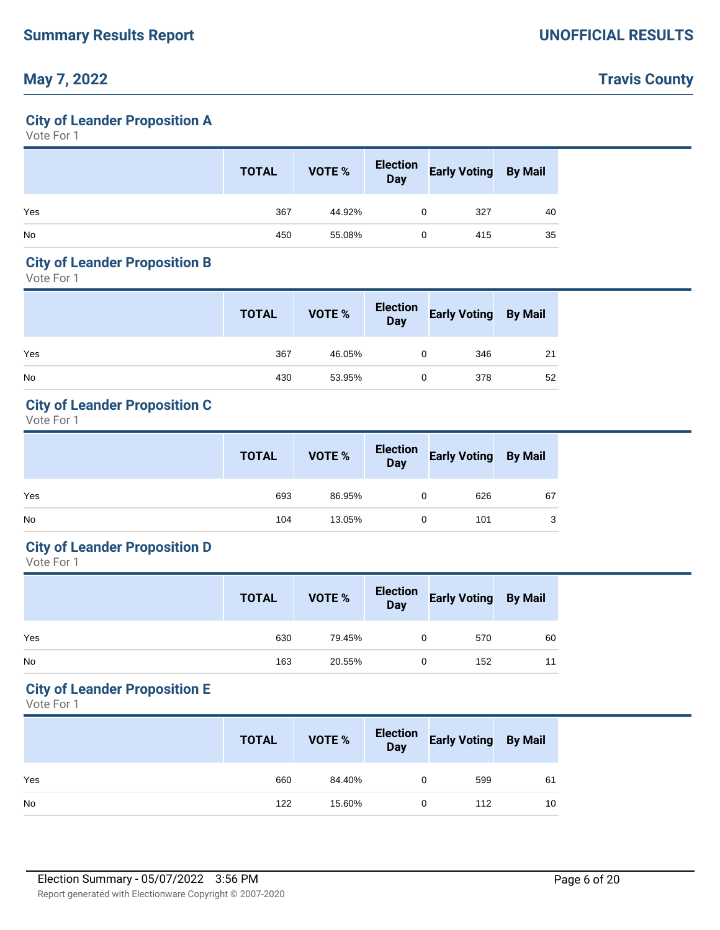## **Travis County**

### **City of Leander Proposition A**

Vote For 1

|           | <b>TOTAL</b> | <b>VOTE %</b> | Election<br>Day | <b>Early Voting By Mail</b> |    |
|-----------|--------------|---------------|-----------------|-----------------------------|----|
| Yes       | 367          | 44.92%        | 0               | 327                         | 40 |
| <b>No</b> | 450          | 55.08%        | 0               | 415                         | 35 |

### **City of Leander Proposition B**

Vote For 1

|           | <b>TOTAL</b> | VOTE % | Election<br>Day | <b>Early Voting By Mail</b> |    |
|-----------|--------------|--------|-----------------|-----------------------------|----|
| Yes       | 367          | 46.05% | 0               | 346                         | 21 |
| <b>No</b> | 430          | 53.95% | 0               | 378                         | 52 |

## **City of Leander Proposition C**

Vote For 1

|           | <b>TOTAL</b> | VOTE % |   | Election Early Voting By Mail<br>Day |    |
|-----------|--------------|--------|---|--------------------------------------|----|
| Yes       | 693          | 86.95% | 0 | 626                                  | 67 |
| <b>No</b> | 104          | 13.05% | 0 | 101                                  | ◠  |

### **City of Leander Proposition D**

Vote For 1

|           | <b>TOTAL</b> | VOTE % | Election<br>Day | <b>Early Voting By Mail</b> |    |
|-----------|--------------|--------|-----------------|-----------------------------|----|
| Yes       | 630          | 79.45% |                 | 570                         | 60 |
| <b>No</b> | 163          | 20.55% | 0               | 152                         | 11 |

#### **City of Leander Proposition E**

|           | <b>TOTAL</b> | VOTE % | Election<br>Day | <b>Early Voting By Mail</b> |    |
|-----------|--------------|--------|-----------------|-----------------------------|----|
| Yes       | 660          | 84.40% | 0               | 599                         | 61 |
| <b>No</b> | 122          | 15.60% | 0               | 112                         | 10 |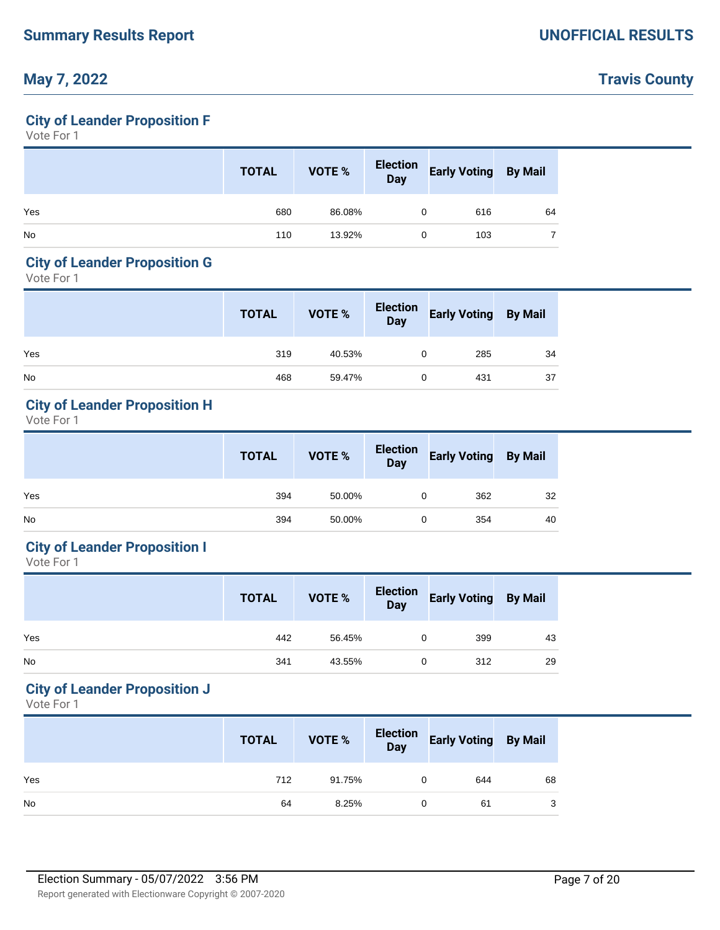# **Travis County**

## **City of Leander Proposition F**

Vote For 1

|           | <b>TOTAL</b> | VOTE % | Election<br>Day | <b>Early Voting By Mail</b> |    |
|-----------|--------------|--------|-----------------|-----------------------------|----|
| Yes       | 680          | 86.08% | 0               | 616                         | 64 |
| <b>No</b> | 110          | 13.92% | 0               | 103                         |    |

## **City of Leander Proposition G**

Vote For 1

|           | <b>TOTAL</b> | VOTE % | Election<br>Day | <b>Early Voting By Mail</b> |    |
|-----------|--------------|--------|-----------------|-----------------------------|----|
| Yes       | 319          | 40.53% | 0               | 285                         | 34 |
| <b>No</b> | 468          | 59.47% | 0               | 431                         | 37 |

### **City of Leander Proposition H**

Vote For 1

|           | <b>TOTAL</b> | VOTE % | Election<br>Day | <b>Early Voting By Mail</b> |    |
|-----------|--------------|--------|-----------------|-----------------------------|----|
| Yes       | 394          | 50.00% |                 | 362                         | 32 |
| <b>No</b> | 394          | 50.00% | 0               | 354                         | 40 |

### **City of Leander Proposition I**

Vote For 1

|           | <b>TOTAL</b> | VOTE % | Election<br>Day | <b>Early Voting By Mail</b> |    |
|-----------|--------------|--------|-----------------|-----------------------------|----|
| Yes       | 442          | 56.45% |                 | 399                         | 43 |
| <b>No</b> | 341          | 43.55% | 0               | 312                         | 29 |

#### **City of Leander Proposition J**

|           | <b>TOTAL</b> | VOTE % | Election<br>Day | <b>Early Voting By Mail</b> |    |
|-----------|--------------|--------|-----------------|-----------------------------|----|
| Yes       | 712          | 91.75% |                 | 644                         | 68 |
| <b>No</b> | 64           | 8.25%  | 0               | 61                          | 3  |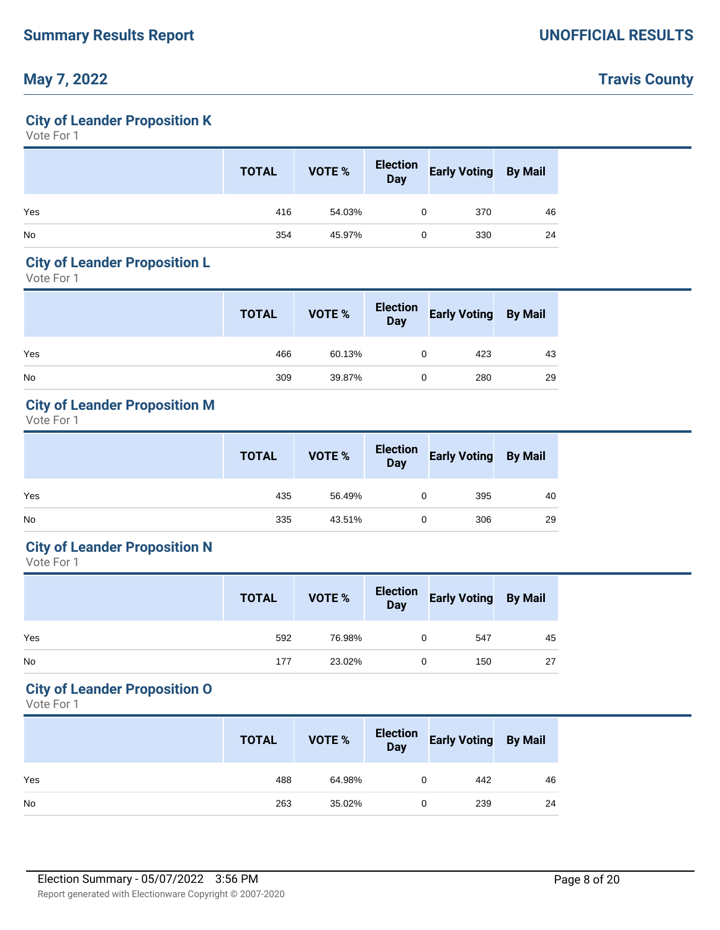## **Travis County**

### **City of Leander Proposition K**

Vote For 1

|           | <b>TOTAL</b> | VOTE % | Election<br>Day | <b>Early Voting By Mail</b> |    |
|-----------|--------------|--------|-----------------|-----------------------------|----|
| Yes       | 416          | 54.03% | 0               | 370                         | 46 |
| <b>No</b> | 354          | 45.97% | 0               | 330                         | 24 |

### **City of Leander Proposition L**

Vote For 1

|           | <b>TOTAL</b> | VOTE % | Election<br>Day | <b>Early Voting By Mail</b> |    |
|-----------|--------------|--------|-----------------|-----------------------------|----|
| Yes       | 466          | 60.13% | 0               | 423                         | 43 |
| <b>No</b> | 309          | 39.87% | $\Omega$        | 280                         | 29 |

### **City of Leander Proposition M**

Vote For 1

|           | <b>TOTAL</b> | <b>VOTE %</b> | Election<br>Day | <b>Early Voting By Mail</b> |    |
|-----------|--------------|---------------|-----------------|-----------------------------|----|
| Yes       | 435          | 56.49%        |                 | 395                         | 40 |
| <b>No</b> | 335          | 43.51%        |                 | 306                         | 29 |

### **City of Leander Proposition N**

Vote For 1

|           | <b>TOTAL</b> | VOTE % | Election<br>Day | <b>Early Voting By Mail</b> |    |
|-----------|--------------|--------|-----------------|-----------------------------|----|
| Yes       | 592          | 76.98% |                 | 547                         | 45 |
| <b>No</b> | 177          | 23.02% |                 | 150                         | 27 |

#### **City of Leander Proposition O**

|           | <b>TOTAL</b> | VOTE % | Election<br>Day | <b>Early Voting By Mail</b> |    |
|-----------|--------------|--------|-----------------|-----------------------------|----|
| Yes       | 488          | 64.98% |                 | 442                         | 46 |
| <b>No</b> | 263          | 35.02% |                 | 239                         | 24 |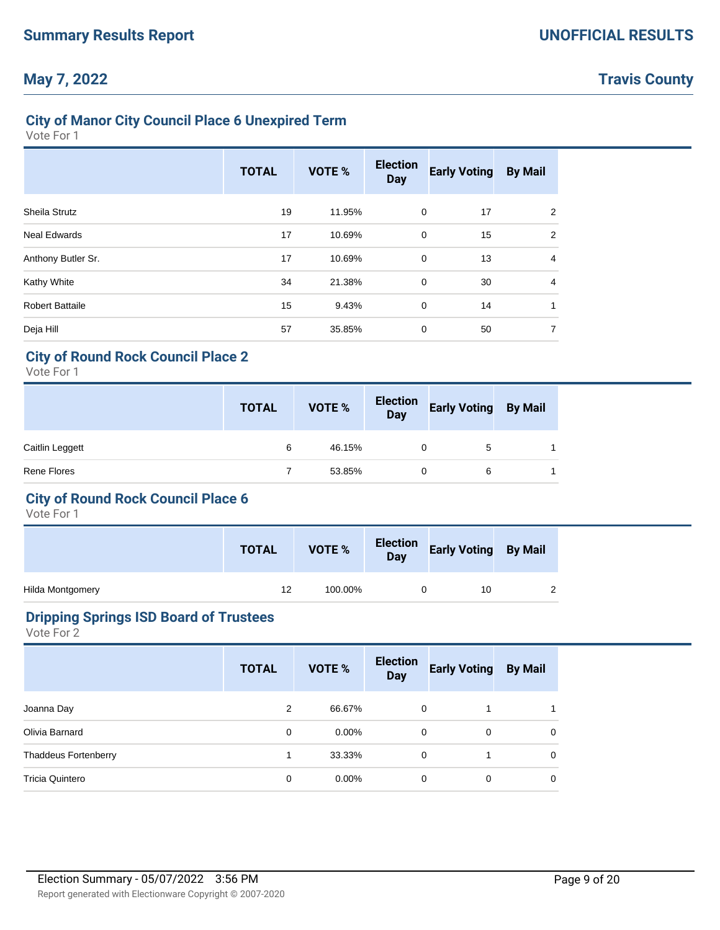## **Travis County**

## **City of Manor City Council Place 6 Unexpired Term**

Vote For 1

|                        | <b>TOTAL</b> | <b>VOTE %</b> | <b>Election</b><br><b>Day</b> | <b>Early Voting</b> | <b>By Mail</b> |
|------------------------|--------------|---------------|-------------------------------|---------------------|----------------|
| <b>Sheila Strutz</b>   | 19           | 11.95%        | $\mathbf 0$                   | 17                  | 2              |
| <b>Neal Edwards</b>    | 17           | 10.69%        | $\mathbf 0$                   | 15                  | 2              |
| Anthony Butler Sr.     | 17           | 10.69%        | $\mathbf 0$                   | 13                  | 4              |
| Kathy White            | 34           | 21.38%        | $\mathbf 0$                   | 30                  | $\overline{4}$ |
| <b>Robert Battaile</b> | 15           | 9.43%         | $\mathbf 0$                   | 14                  | 1              |
| Deja Hill              | 57           | 35.85%        | 0                             | 50                  | 7              |

### **City of Round Rock Council Place 2**

Vote For 1

|                    | <b>TOTAL</b> | VOTE % | Election<br>Day | <b>Early Voting By Mail</b> |  |
|--------------------|--------------|--------|-----------------|-----------------------------|--|
| Caitlin Leggett    | 6            | 46.15% | 0               | 5                           |  |
| <b>Rene Flores</b> |              | 53.85% | 0               | 6                           |  |

### **City of Round Rock Council Place 6**

Vote For 1

|                  | <b>TOTAL</b> | VOTE %  | Election Early Voting By Mail |  |
|------------------|--------------|---------|-------------------------------|--|
| Hilda Montgomery | 12           | 100.00% | 10                            |  |

#### **Dripping Springs ISD Board of Trustees**

|                             | <b>TOTAL</b> | <b>VOTE %</b> | <b>Election</b><br><b>Day</b> | <b>Early Voting</b> | <b>By Mail</b> |
|-----------------------------|--------------|---------------|-------------------------------|---------------------|----------------|
| Joanna Day                  | 2            | 66.67%        | 0                             |                     |                |
| Olivia Barnard              | 0            | $0.00\%$      | 0                             | 0                   | 0              |
| <b>Thaddeus Fortenberry</b> | 1            | 33.33%        | 0                             |                     | 0              |
| Tricia Quintero             | 0            | $0.00\%$      | 0                             | 0                   | 0              |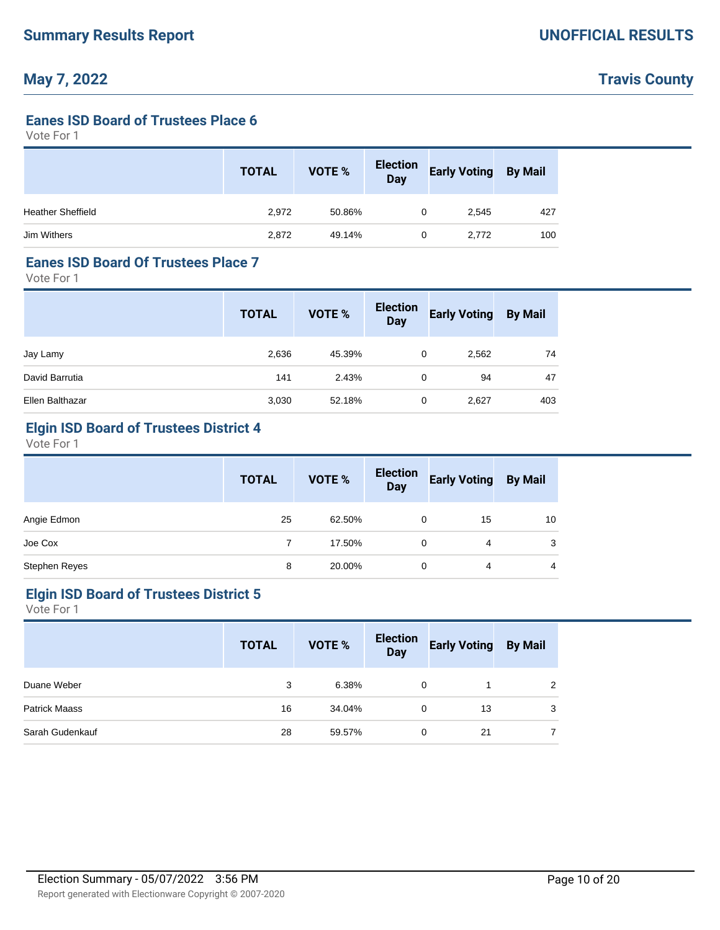# **Travis County**

#### **Eanes ISD Board of Trustees Place 6**

Vote For 1

|                          | <b>TOTAL</b> | <b>VOTE %</b> | <b>Election</b><br><b>Day</b> | <b>Early Voting</b> | <b>By Mail</b> |
|--------------------------|--------------|---------------|-------------------------------|---------------------|----------------|
| <b>Heather Sheffield</b> | 2,972        | 50.86%        | 0                             | 2,545               | 427            |
| Jim Withers              | 2,872        | 49.14%        | 0                             | 2,772               | 100            |

#### **Eanes ISD Board Of Trustees Place 7**

Vote For 1

|                 | <b>TOTAL</b> | VOTE % | <b>Election</b><br><b>Day</b> | <b>Early Voting</b> | <b>By Mail</b> |
|-----------------|--------------|--------|-------------------------------|---------------------|----------------|
| Jay Lamy        | 2,636        | 45.39% | 0                             | 2,562               | 74             |
| David Barrutia  | 141          | 2.43%  | 0                             | 94                  | 47             |
| Ellen Balthazar | 3,030        | 52.18% | 0                             | 2,627               | 403            |

## **Elgin ISD Board of Trustees District 4**

Vote For 1

|               | <b>TOTAL</b> | <b>VOTE %</b> | <b>Election</b><br><b>Day</b> | <b>Early Voting</b> | <b>By Mail</b> |  |
|---------------|--------------|---------------|-------------------------------|---------------------|----------------|--|
| Angie Edmon   | 25           | 62.50%        | 0                             | 15                  | 10             |  |
| Joe Cox       |              | 17.50%        | 0                             | 4                   | 3              |  |
| Stephen Reyes | 8            | 20.00%        |                               | 4                   | 4              |  |

#### **Elgin ISD Board of Trustees District 5**

|                      | <b>TOTAL</b> | <b>VOTE %</b> | <b>Election</b><br><b>Day</b> | <b>Early Voting</b> | <b>By Mail</b> |
|----------------------|--------------|---------------|-------------------------------|---------------------|----------------|
| Duane Weber          | 3            | 6.38%         | 0                             |                     | 2              |
| <b>Patrick Maass</b> | 16           | 34.04%        | $\Omega$                      | 13                  | 3              |
| Sarah Gudenkauf      | 28           | 59.57%        | $\Omega$                      | 21                  |                |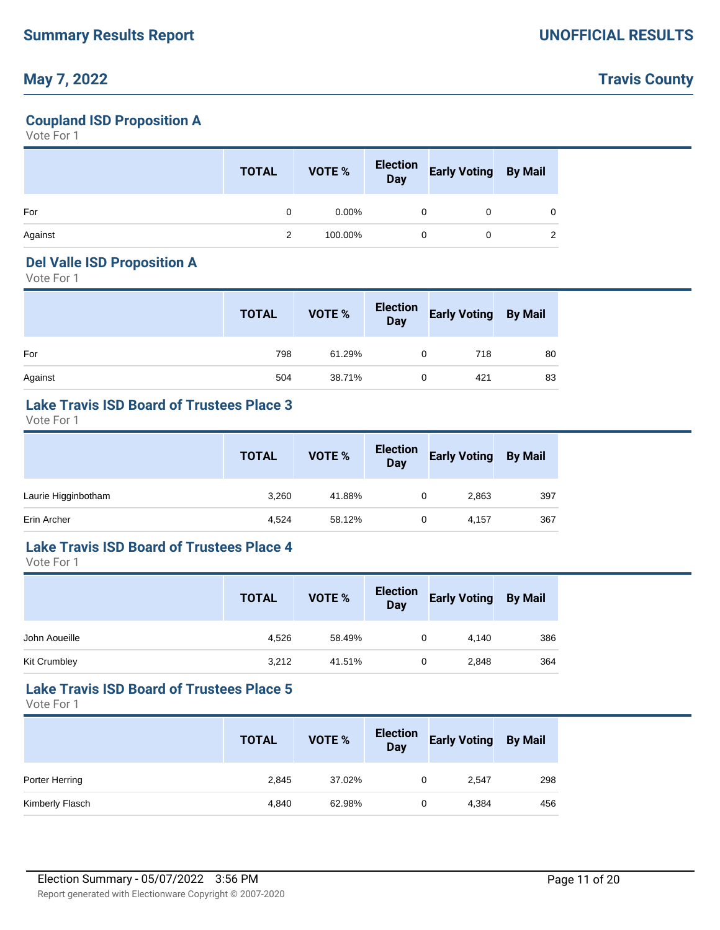## **Travis County**

### **Coupland ISD Proposition A**

Vote For 1

|         | <b>TOTAL</b> | <b>VOTE %</b> | Election<br>Day | <b>Early Voting</b> | <b>By Mail</b> |
|---------|--------------|---------------|-----------------|---------------------|----------------|
| For     | 0            | $0.00\%$      | 0               |                     |                |
| Against | 2            | 100.00%       | 0               |                     |                |

#### **Del Valle ISD Proposition A**

Vote For 1

|         | <b>TOTAL</b> | VOTE % | Election<br>Day | <b>Early Voting By Mail</b> |    |
|---------|--------------|--------|-----------------|-----------------------------|----|
| For     | 798          | 61.29% | 0               | 718                         | 80 |
| Against | 504          | 38.71% | 0               | 421                         | 83 |

#### **Lake Travis ISD Board of Trustees Place 3**

Vote For 1

|                     | <b>TOTAL</b> | VOTE % | <b>Election</b><br><b>Day</b> | <b>Early Voting</b> | <b>By Mail</b> |
|---------------------|--------------|--------|-------------------------------|---------------------|----------------|
| Laurie Higginbotham | 3,260        | 41.88% | 0                             | 2,863               | 397            |
| Erin Archer         | 4,524        | 58.12% | 0                             | 4,157               | 367            |

## **Lake Travis ISD Board of Trustees Place 4**

Vote For 1

|               | <b>TOTAL</b> | VOTE % | <b>Election</b><br><b>Day</b> | <b>Early Voting</b> | <b>By Mail</b> |
|---------------|--------------|--------|-------------------------------|---------------------|----------------|
| John Aoueille | 4,526        | 58.49% |                               | 4,140               | 386            |
| Kit Crumbley  | 3,212        | 41.51% | 0                             | 2,848               | 364            |

### **Lake Travis ISD Board of Trustees Place 5**

|                 | <b>TOTAL</b> | VOTE % | <b>Election</b><br><b>Day</b> | <b>Early Voting</b> | <b>By Mail</b> |
|-----------------|--------------|--------|-------------------------------|---------------------|----------------|
| Porter Herring  | 2,845        | 37.02% | 0                             | 2,547               | 298            |
| Kimberly Flasch | 4,840        | 62.98% | 0                             | 4,384               | 456            |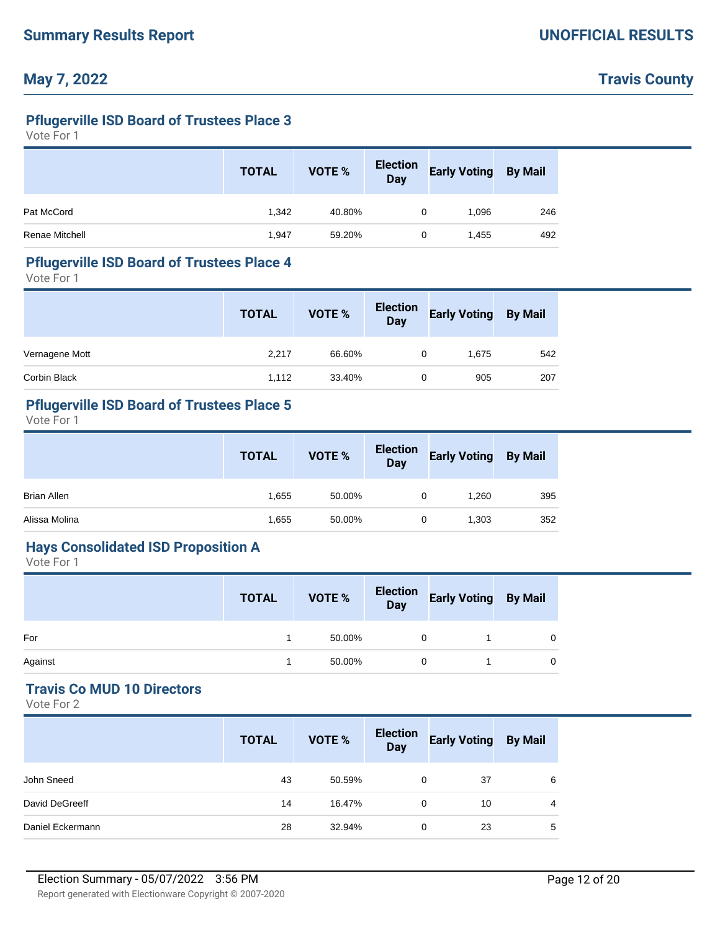## **Travis County**

## **Pflugerville ISD Board of Trustees Place 3**

Vote For 1

|                | <b>TOTAL</b> | VOTE % | <b>Election</b><br>Day | <b>Early Voting</b> | <b>By Mail</b> |
|----------------|--------------|--------|------------------------|---------------------|----------------|
| Pat McCord     | 1,342        | 40.80% | 0                      | 1,096               | 246            |
| Renae Mitchell | 1,947        | 59.20% | 0                      | 1,455               | 492            |

# **Pflugerville ISD Board of Trustees Place 4**

Vote For 1

|                | <b>TOTAL</b> | VOTE % | <b>Election</b><br><b>Day</b> | <b>Early Voting</b> | <b>By Mail</b> |
|----------------|--------------|--------|-------------------------------|---------------------|----------------|
| Vernagene Mott | 2,217        | 66.60% |                               | 1.675               | 542            |
| Corbin Black   | 1.112        | 33.40% | 0                             | 905                 | 207            |

### **Pflugerville ISD Board of Trustees Place 5**

Vote For 1

|               | <b>TOTAL</b> | VOTE % | Election<br>Day | <b>Early Voting</b> | <b>By Mail</b> |
|---------------|--------------|--------|-----------------|---------------------|----------------|
| Brian Allen   | 1,655        | 50.00% | 0               | 1.260               | 395            |
| Alissa Molina | 1,655        | 50.00% | 0               | 1,303               | 352            |

#### **Hays Consolidated ISD Proposition A**

Vote For 1

|         | <b>TOTAL</b> | VOTE % | Election<br>Day | <b>Early Voting By Mail</b> |              |
|---------|--------------|--------|-----------------|-----------------------------|--------------|
| For     |              | 50.00% |                 |                             | 0            |
| Against |              | 50.00% | 0               |                             | $\mathbf{0}$ |

#### **Travis Co MUD 10 Directors**

|                  | <b>TOTAL</b> | <b>VOTE %</b> | <b>Election</b><br><b>Day</b> | <b>Early Voting</b> | <b>By Mail</b> |
|------------------|--------------|---------------|-------------------------------|---------------------|----------------|
| John Sneed       | 43           | 50.59%        | $\Omega$                      | 37                  | 6              |
| David DeGreeff   | 14           | 16.47%        | 0                             | 10                  | 4              |
| Daniel Eckermann | 28           | 32.94%        | 0                             | 23                  | 5              |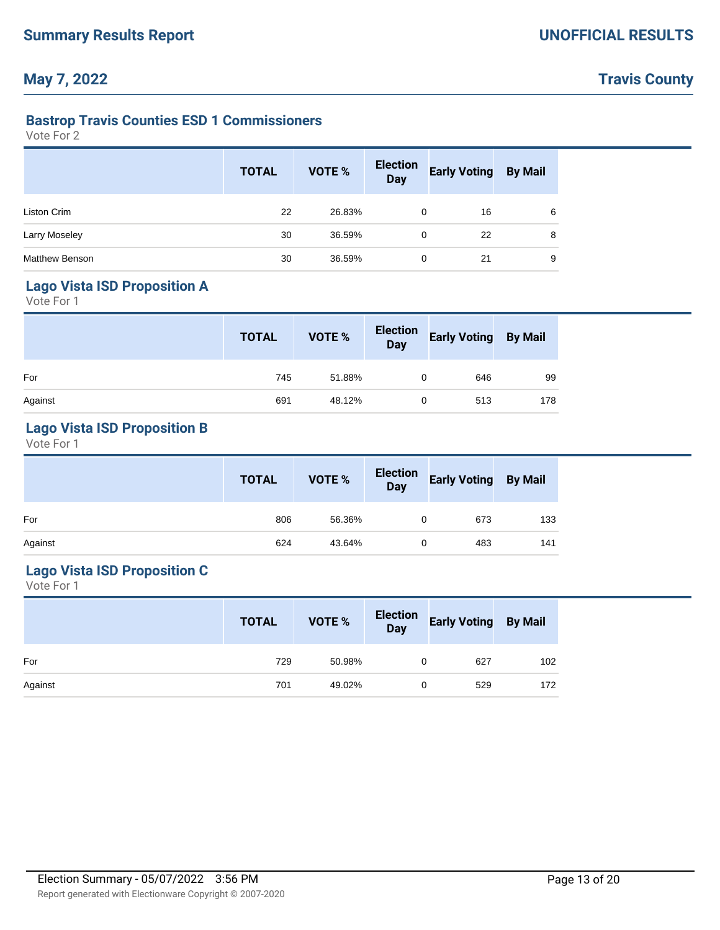# **Travis County**

### **Bastrop Travis Counties ESD 1 Commissioners**

Vote For 2

|                       | <b>TOTAL</b> | VOTE % | <b>Election</b><br><b>Day</b> | <b>Early Voting</b> | <b>By Mail</b> |
|-----------------------|--------------|--------|-------------------------------|---------------------|----------------|
| Liston Crim           | 22           | 26.83% | 0                             | 16                  | 6              |
| <b>Larry Moseley</b>  | 30           | 36.59% | 0                             | 22                  | 8              |
| <b>Matthew Benson</b> | 30           | 36.59% | 0                             | 21                  | 9              |

### **Lago Vista ISD Proposition A**

Vote For 1

|         | <b>TOTAL</b> | VOTE % | Election<br>Day | <b>Early Voting By Mail</b> |     |
|---------|--------------|--------|-----------------|-----------------------------|-----|
| For     | 745          | 51.88% |                 | 646                         | 99  |
| Against | 691          | 48.12% | 0               | 513                         | 178 |

## **Lago Vista ISD Proposition B**

Vote For 1

|         | <b>TOTAL</b> | VOTE % | Election<br>Day | <sup>4</sup> Early Voting By Mail |     |
|---------|--------------|--------|-----------------|-----------------------------------|-----|
| For     | 806          | 56.36% |                 | 673                               | 133 |
| Against | 624          | 43.64% | 0               | 483                               | 141 |

## **Lago Vista ISD Proposition C**

|         | <b>TOTAL</b> | VOTE % | Election<br>Day | <b>Early Voting By Mail</b> |     |
|---------|--------------|--------|-----------------|-----------------------------|-----|
| For     | 729          | 50.98% |                 | 627                         | 102 |
| Against | 701          | 49.02% |                 | 529                         | 172 |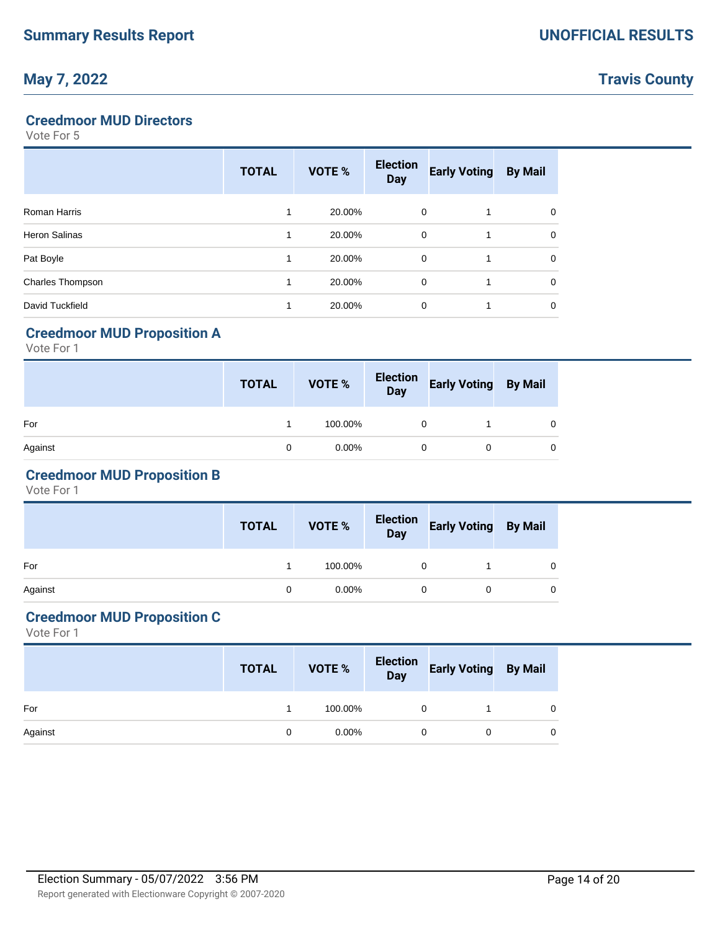**Travis County**

### **Creedmoor MUD Directors**

Vote For 5

|                      | <b>TOTAL</b> | VOTE % | <b>Election</b><br><b>Day</b> | <b>Early Voting</b> | <b>By Mail</b> |
|----------------------|--------------|--------|-------------------------------|---------------------|----------------|
| Roman Harris         | 1            | 20.00% | $\mathbf 0$                   |                     | $\Omega$       |
| <b>Heron Salinas</b> | 1            | 20.00% | $\mathbf 0$                   |                     | $\Omega$       |
| Pat Boyle            | 1            | 20.00% | $\mathbf 0$                   |                     | $\Omega$       |
| Charles Thompson     | 1            | 20.00% | $\mathbf 0$                   |                     | $\Omega$       |
| David Tuckfield      | 1            | 20.00% | 0                             |                     | 0              |

## **Creedmoor MUD Proposition A**

Vote For 1

|         | <b>TOTAL</b> | VOTE %   | Election<br>Day | <b>Early Voting By Mail</b> |   |
|---------|--------------|----------|-----------------|-----------------------------|---|
| For     |              | 100.00%  |                 |                             | 0 |
| Against | 0            | $0.00\%$ | 0               |                             | 0 |

## **Creedmoor MUD Proposition B**

Vote For 1

|         | <b>TOTAL</b> | VOTE %   |          | Election Early Voting By Mail |   |
|---------|--------------|----------|----------|-------------------------------|---|
| For     |              | 100.00%  | $\Omega$ |                               |   |
| Against |              | $0.00\%$ | $\Omega$ |                               | 0 |

## **Creedmoor MUD Proposition C**

|         | <b>TOTAL</b> | VOTE %   | Election<br>Day | <b>Early Voting By Mail</b> |   |  |
|---------|--------------|----------|-----------------|-----------------------------|---|--|
| For     |              | 100.00%  | 0               |                             |   |  |
| Against | $\Omega$     | $0.00\%$ | 0               |                             | 0 |  |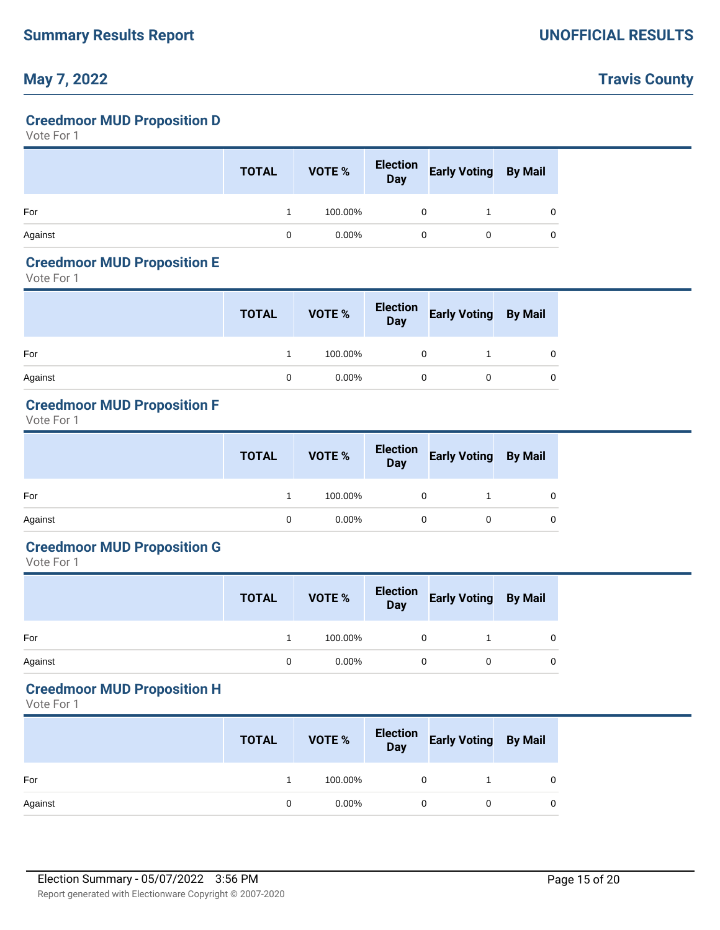## **Travis County**

### **Creedmoor MUD Proposition D**

Vote For 1

|         | <b>TOTAL</b> | VOTE %   | Election<br>Day | <b>Early Voting By Mail</b> |  |
|---------|--------------|----------|-----------------|-----------------------------|--|
| For     |              | 100.00%  |                 |                             |  |
| Against | 0            | $0.00\%$ |                 |                             |  |

#### **Creedmoor MUD Proposition E**

Vote For 1

|         | <b>TOTAL</b> | VOTE %   | Election<br>Day | <b>Early Voting By Mail</b> |   |
|---------|--------------|----------|-----------------|-----------------------------|---|
| For     |              | 100.00%  |                 |                             | 0 |
| Against | 0            | $0.00\%$ |                 |                             | 0 |

## **Creedmoor MUD Proposition F**

Vote For 1

|         | <b>TOTAL</b> | <b>VOTE %</b> | Election<br>Day | <b>Early Voting By Mail</b> |   |
|---------|--------------|---------------|-----------------|-----------------------------|---|
| For     |              | 100.00%       |                 |                             | 0 |
| Against | 0            | $0.00\%$      |                 |                             | 0 |

## **Creedmoor MUD Proposition G**

Vote For 1

|         | <b>TOTAL</b> | VOTE %   | Election<br>Day | <b>Early Voting By Mail</b> |   |
|---------|--------------|----------|-----------------|-----------------------------|---|
| For     |              | 100.00%  |                 |                             | 0 |
| Against | 0            | $0.00\%$ |                 |                             | 0 |

### **Creedmoor MUD Proposition H**

|         | <b>TOTAL</b> | VOTE %   | Election<br>Day | <b>Early Voting By Mail</b> |   |
|---------|--------------|----------|-----------------|-----------------------------|---|
| For     |              | 100.00%  | 0               |                             | 0 |
| Against | 0            | $0.00\%$ |                 |                             | 0 |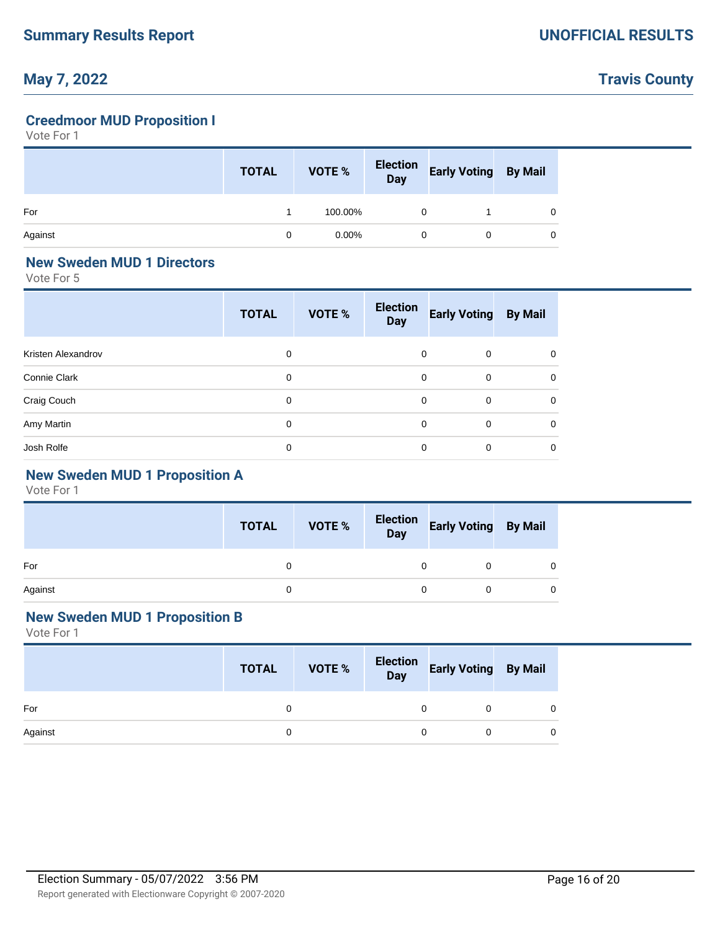# **Travis County**

## **Creedmoor MUD Proposition I**

Vote For 1

|         | <b>TOTAL</b> | VOTE %   | Election<br>Day | <b>Early Voting By Mail</b> |  |
|---------|--------------|----------|-----------------|-----------------------------|--|
| For     |              | 100.00%  |                 |                             |  |
| Against |              | $0.00\%$ | 0               | 0                           |  |

#### **New Sweden MUD 1 Directors**

Vote For 5

|                    | <b>TOTAL</b> | VOTE % | <b>Election</b><br><b>Day</b> | <b>Early Voting</b> | <b>By Mail</b> |
|--------------------|--------------|--------|-------------------------------|---------------------|----------------|
| Kristen Alexandrov | $\mathbf 0$  |        | 0                             | 0                   | 0              |
| Connie Clark       | $\mathbf 0$  |        | 0                             | 0                   | $\mathbf 0$    |
| Craig Couch        | $\mathbf 0$  |        | 0                             | 0                   | $\mathbf 0$    |
| Amy Martin         | 0            |        | 0                             | 0                   | 0              |
| Josh Rolfe         | 0            |        | 0                             | 0                   | 0              |

## **New Sweden MUD 1 Proposition A**

Vote For 1

|         | <b>TOTAL</b> | VOTE % | Election<br>Day Early Voting By Mail |  |
|---------|--------------|--------|--------------------------------------|--|
| For     |              |        |                                      |  |
| Against |              |        |                                      |  |

### **New Sweden MUD 1 Proposition B**

|         | <b>TOTAL</b> | <b>VOTE %</b> | Election<br>Day Early Voting By Mail |  |
|---------|--------------|---------------|--------------------------------------|--|
| For     | 0            |               |                                      |  |
| Against | 0            |               |                                      |  |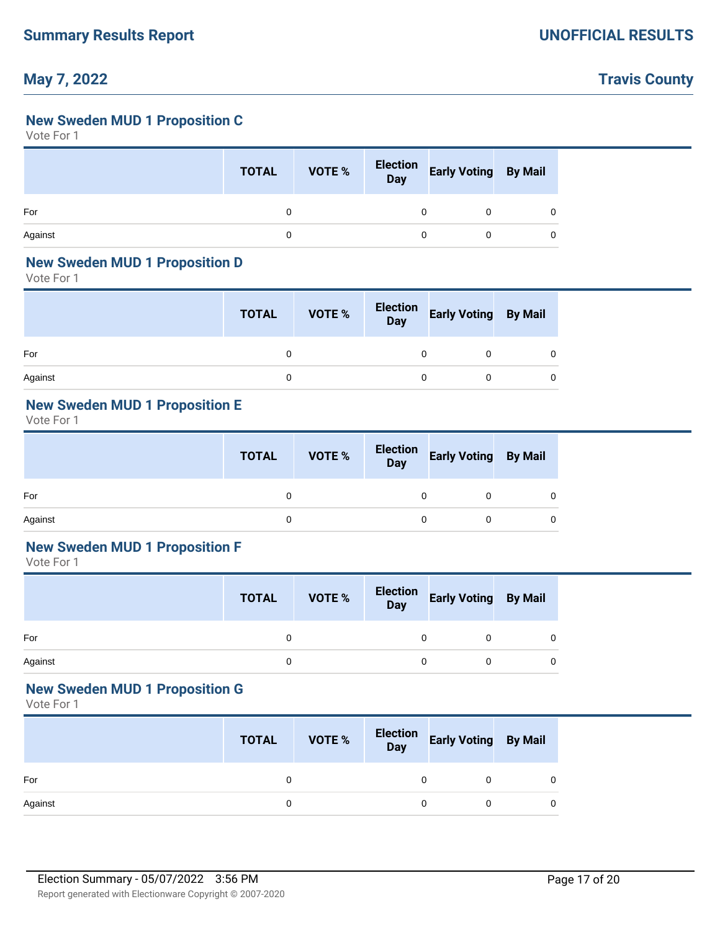## **Travis County**

### **New Sweden MUD 1 Proposition C**

Vote For 1

|         | <b>TOTAL</b> | <b>VOTE %</b> | Election<br>Day | Early Voting By Mail |  |
|---------|--------------|---------------|-----------------|----------------------|--|
| For     |              |               | 0               |                      |  |
| Against | 0            |               | 0               |                      |  |

#### **New Sweden MUD 1 Proposition D**

Vote For 1

|         | <b>TOTAL</b> | VOTE % | Election<br>Day | <b>Early Voting By Mail</b> |   |
|---------|--------------|--------|-----------------|-----------------------------|---|
| For     |              |        |                 |                             | 0 |
| Against |              |        |                 |                             | 0 |

## **New Sweden MUD 1 Proposition E**

Vote For 1

|         | <b>TOTAL</b> | VOTE % |   | Election Early Voting By Mail |  |
|---------|--------------|--------|---|-------------------------------|--|
| For     | 0            |        | 0 |                               |  |
| Against | 0            |        |   |                               |  |

### **New Sweden MUD 1 Proposition F**

Vote For 1

|         | <b>TOTAL</b> | VOTE % | Election<br>Day | Early Voting By Mail |   |
|---------|--------------|--------|-----------------|----------------------|---|
| For     |              |        |                 |                      |   |
| Against |              |        |                 |                      | 0 |

### **New Sweden MUD 1 Proposition G**

|         | <b>TOTAL</b> | VOTE % | Election<br>Day | <b>Early Voting By Mail</b> |   |
|---------|--------------|--------|-----------------|-----------------------------|---|
| For     |              |        |                 |                             | 0 |
| Against |              |        |                 |                             | 0 |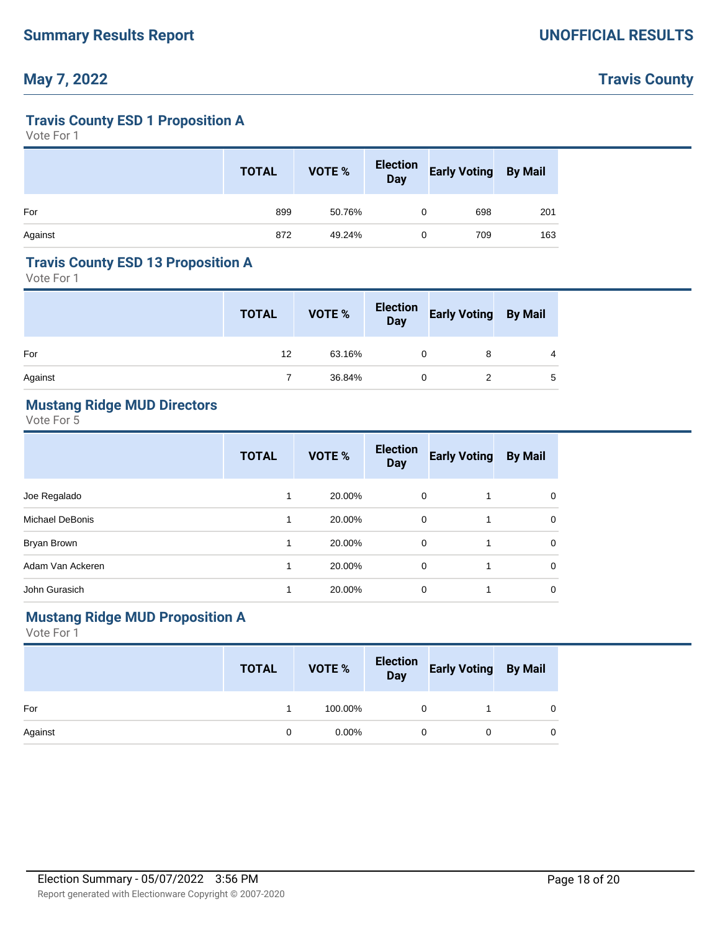# **Travis County**

### **Travis County ESD 1 Proposition A**

Vote For 1

|         | <b>TOTAL</b> | VOTE % | Election<br>Day | <b>Early Voting By Mail</b> |     |
|---------|--------------|--------|-----------------|-----------------------------|-----|
| For     | 899          | 50.76% | 0               | 698                         | 201 |
| Against | 872          | 49.24% | 0               | 709                         | 163 |

#### **Travis County ESD 13 Proposition A**

Vote For 1

|         | <b>TOTAL</b> | VOTE % | Election<br>Day | <b>Early Voting By Mail</b> |   |
|---------|--------------|--------|-----------------|-----------------------------|---|
| For     | 12           | 63.16% |                 |                             | 4 |
| Against |              | 36.84% |                 |                             | 5 |

### **Mustang Ridge MUD Directors**

Vote For 5

|                  | <b>TOTAL</b> | VOTE % | <b>Election</b><br><b>Day</b> | <b>Early Voting</b> | <b>By Mail</b> |
|------------------|--------------|--------|-------------------------------|---------------------|----------------|
| Joe Regalado     |              | 20.00% | 0                             |                     | 0              |
| Michael DeBonis  |              | 20.00% | 0                             |                     | 0              |
| Bryan Brown      |              | 20.00% | 0                             | 1                   | 0              |
| Adam Van Ackeren |              | 20.00% | 0                             |                     | 0              |
| John Gurasich    |              | 20.00% | 0                             |                     | 0              |

#### **Mustang Ridge MUD Proposition A**

|         | <b>TOTAL</b> | <b>VOTE %</b> | Election<br>Day | Early Voting By Mail |  |
|---------|--------------|---------------|-----------------|----------------------|--|
| For     |              | 100.00%       |                 |                      |  |
| Against | 0            | $0.00\%$      |                 |                      |  |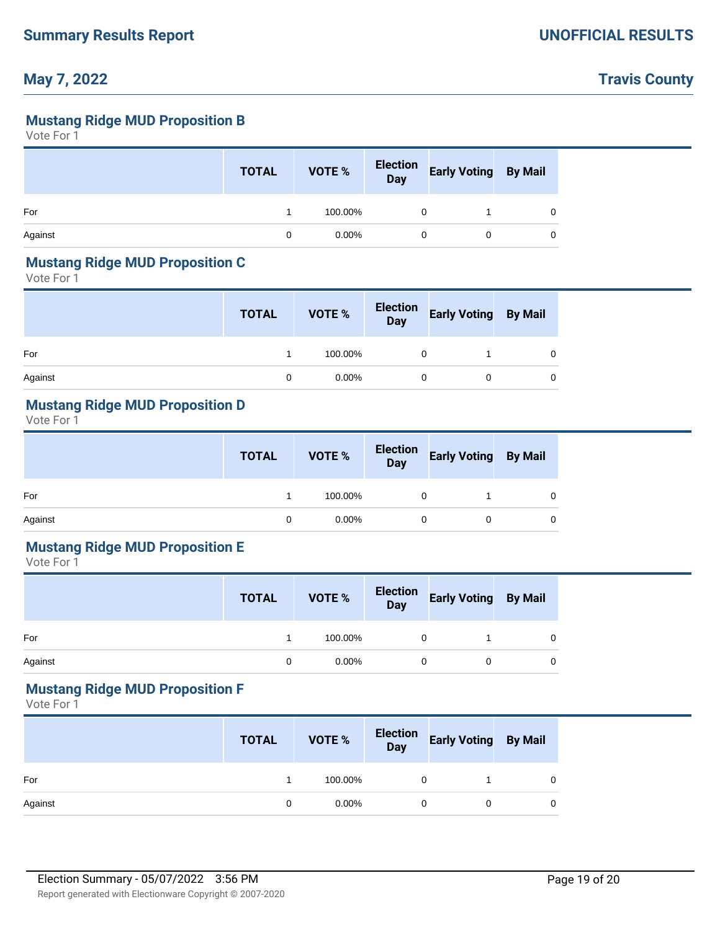## **Travis County**

#### **Mustang Ridge MUD Proposition B**

Vote For 1

|         | <b>TOTAL</b> | VOTE %   | Election<br>Day | <b>Early Voting By Mail</b> |   |
|---------|--------------|----------|-----------------|-----------------------------|---|
| For     |              | 100.00%  |                 |                             | 0 |
| Against |              | $0.00\%$ |                 |                             | 0 |

#### **Mustang Ridge MUD Proposition C**

Vote For 1

|         | <b>TOTAL</b> | VOTE %   | Election<br>Day | Early Voting By Mail |  |
|---------|--------------|----------|-----------------|----------------------|--|
| For     |              | 100.00%  | 0               |                      |  |
| Against | 0            | $0.00\%$ | 0               |                      |  |

#### **Mustang Ridge MUD Proposition D**

Vote For 1

|         | <b>TOTAL</b> | VOTE %   | Election<br>Day | <b>Early Voting By Mail</b> |   |
|---------|--------------|----------|-----------------|-----------------------------|---|
| For     |              | 100.00%  |                 |                             | 0 |
| Against | 0            | $0.00\%$ |                 |                             | 0 |

### **Mustang Ridge MUD Proposition E**

Vote For 1

|         | <b>TOTAL</b> | VOTE %   | Election<br>Day | <b>Early Voting By Mail</b> |   |
|---------|--------------|----------|-----------------|-----------------------------|---|
| For     |              | 100.00%  |                 |                             | 0 |
| Against | 0            | $0.00\%$ |                 |                             | 0 |

#### **Mustang Ridge MUD Proposition F**

|         | <b>TOTAL</b> | VOTE %   | Election<br>Day | <b>Early Voting By Mail</b> |   |
|---------|--------------|----------|-----------------|-----------------------------|---|
| For     |              | 100.00%  |                 |                             | 0 |
| Against | 0            | $0.00\%$ |                 |                             | 0 |